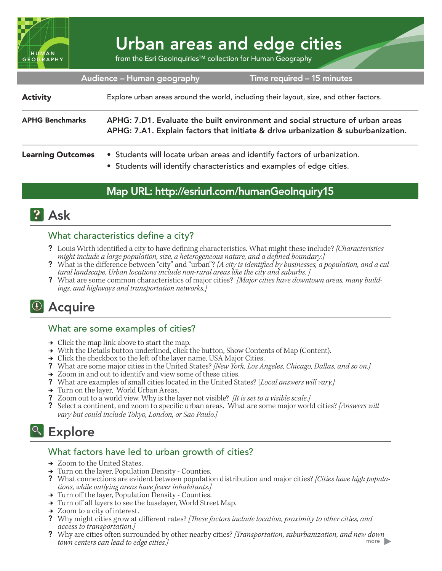

# Urban areas and edge cities

from the Esri GeoInquiries™ collection for Human Geography

| Audience - Human geography<br>Time required - 15 minutes |                                                                                                                                                                     |
|----------------------------------------------------------|---------------------------------------------------------------------------------------------------------------------------------------------------------------------|
| <b>Activity</b>                                          | Explore urban areas around the world, including their layout, size, and other factors.                                                                              |
| <b>APHG Benchmarks</b>                                   | APHG: 7.D1. Evaluate the built environment and social structure of urban areas<br>APHG: 7.A1. Explain factors that initiate & drive urbanization & suburbanization. |
| <b>Learning Outcomes</b>                                 | • Students will locate urban areas and identify factors of urbanization.<br>• Students will identify characteristics and examples of edge cities.                   |

### Map URL: http://esriurl.com/humanGeoInquiry15



#### What characteristics define a city?

- ? Louis Wirth identified a city to have defining characteristics. What might these include? *[Characteristics might include a large population, size, a heterogeneous nature, and a defined boundary.]*
- ? What is the difference between "city" and "urban"? *[A city is identified by businesses, a population, and a cultural landscape. Urban locations include non-rural areas like the city and suburbs. ]*
- ? What are some common characteristics of major cities? *[Major cities have downtown areas, many buildings, and highways and transportation networks.]*

## <sup>4</sup> Acquire

#### What are some examples of cities?

- $\rightarrow$  Click the map link above to start the map.
- → With the Details button underlined, click the button, Show Contents of Map (Content).
- $\rightarrow$  Click the checkbox to the left of the layer name, USA Major Cities.
- ? What are some major cities in the United States? *[New York, Los Angeles, Chicago, Dallas, and so on.]*
- $\rightarrow$  Zoom in and out to identify and view some of these cities.
- ? What are examples of small cities located in the United States? [*Local answers will vary.]*
- **→** Turn on the layer, World Urban Areas.
- ? Zoom out to a world view. Why is the layer not visible? *[It is set to a visible scale.]*
- ? Select a continent, and zoom to specific urban areas. What are some major world cities? *[Answers will vary but could include Tokyo, London, or Sao Paulo.]*

### <sup>Q</sup> Explore

#### What factors have led to urban growth of cities?

- → Zoom to the United States.
- → Turn on the layer, Population Density Counties.
- ? What connections are evident between population distribution and major cities? *[Cities have high populations, while outlying areas have fewer inhabitants.]*
- → Turn off the layer, Population Density Counties.
- → Turn off all layers to see the baselayer, World Street Map.
- **→** Zoom to a city of interest.
- ? Why might cities grow at different rates? *[These factors include location, proximity to other cities, and access to transportation.]*
- ? Why are cities often surrounded by other nearby cities? *[Transportation, suburbanization, and new downtown centers can lead to edge cities.]*  more **b**